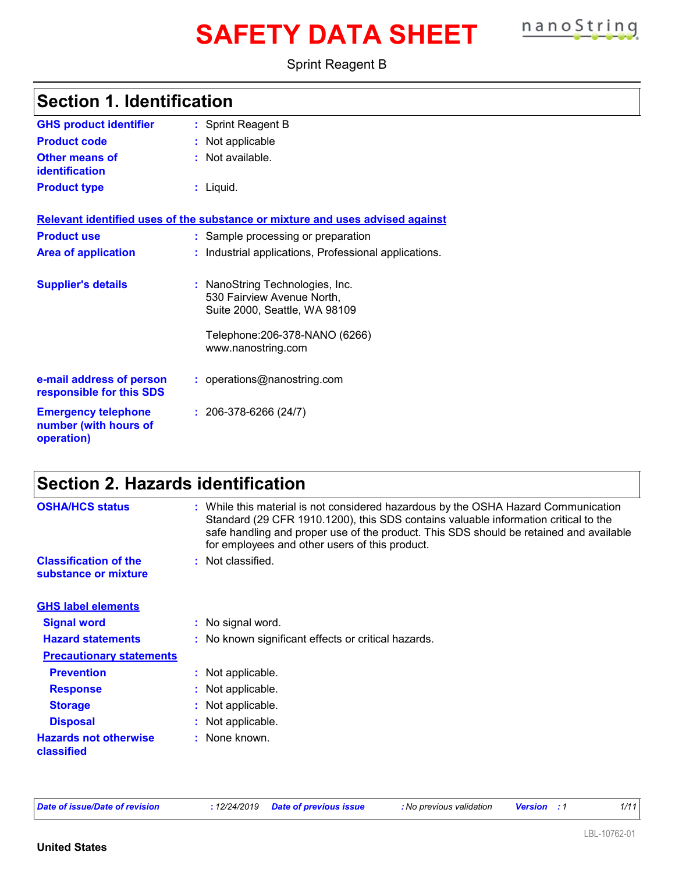# **SAFETY DATA SHEET nanoString**



Sprint Reagent B

| <b>GHS product identifier</b>                                     | : Sprint Reagent B                                                                                                                                     |
|-------------------------------------------------------------------|--------------------------------------------------------------------------------------------------------------------------------------------------------|
| <b>Product code</b>                                               | : Not applicable                                                                                                                                       |
| <b>Other means of</b><br>identification                           | $:$ Not available.                                                                                                                                     |
| <b>Product type</b>                                               | : Liquid.                                                                                                                                              |
|                                                                   | Relevant identified uses of the substance or mixture and uses advised against                                                                          |
| <b>Product use</b>                                                | : Sample processing or preparation                                                                                                                     |
| <b>Area of application</b>                                        | Industrial applications, Professional applications.                                                                                                    |
| <b>Supplier's details</b>                                         | : NanoString Technologies, Inc.<br>530 Fairview Avenue North,<br>Suite 2000, Seattle, WA 98109<br>Telephone: 206-378-NANO (6266)<br>www.nanostring.com |
| e-mail address of person<br>responsible for this SDS              | : operations@nanostring.com                                                                                                                            |
| <b>Emergency telephone</b><br>number (with hours of<br>operation) | $: 206-378-6266(24/7)$                                                                                                                                 |

### **Section 2. Hazards identification**

| <b>OSHA/HCS status</b>                               | : While this material is not considered hazardous by the OSHA Hazard Communication<br>Standard (29 CFR 1910.1200), this SDS contains valuable information critical to the<br>safe handling and proper use of the product. This SDS should be retained and available<br>for employees and other users of this product. |
|------------------------------------------------------|-----------------------------------------------------------------------------------------------------------------------------------------------------------------------------------------------------------------------------------------------------------------------------------------------------------------------|
| <b>Classification of the</b><br>substance or mixture | : Not classified.                                                                                                                                                                                                                                                                                                     |
| <b>GHS label elements</b>                            |                                                                                                                                                                                                                                                                                                                       |
| <b>Signal word</b>                                   | : No signal word.                                                                                                                                                                                                                                                                                                     |
| <b>Hazard statements</b>                             | : No known significant effects or critical hazards.                                                                                                                                                                                                                                                                   |
| <b>Precautionary statements</b>                      |                                                                                                                                                                                                                                                                                                                       |
| <b>Prevention</b>                                    | : Not applicable.                                                                                                                                                                                                                                                                                                     |
| <b>Response</b>                                      | : Not applicable.                                                                                                                                                                                                                                                                                                     |
| <b>Storage</b>                                       | : Not applicable.                                                                                                                                                                                                                                                                                                     |
| <b>Disposal</b>                                      | : Not applicable.                                                                                                                                                                                                                                                                                                     |
| <b>Hazards not otherwise</b><br>classified           | : None known.                                                                                                                                                                                                                                                                                                         |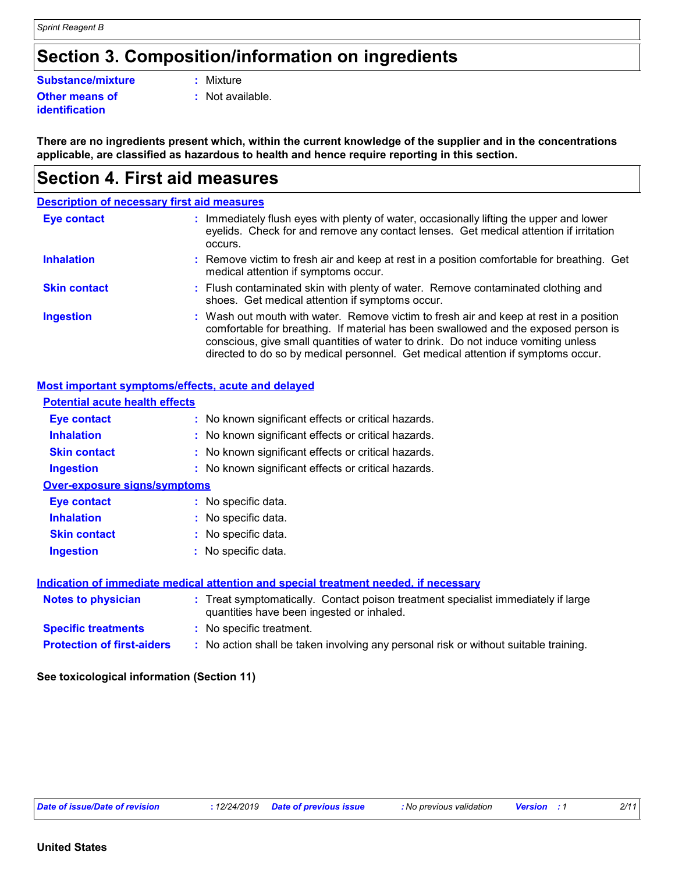### **Section 3. Composition/information on ingredients**

#### **Substance/mixture :** Mixture

#### **Other means of identification**

**:** Not available.

**There are no ingredients present which, within the current knowledge of the supplier and in the concentrations applicable, are classified as hazardous to health and hence require reporting in this section.**

### **Section 4. First aid measures**

|                     | <b>Description of necessary first aid measures</b>                                                                                                                                                                                                                                                                                                     |
|---------------------|--------------------------------------------------------------------------------------------------------------------------------------------------------------------------------------------------------------------------------------------------------------------------------------------------------------------------------------------------------|
| <b>Eye contact</b>  | Immediately flush eyes with plenty of water, occasionally lifting the upper and lower<br>÷.<br>eyelids. Check for and remove any contact lenses. Get medical attention if irritation<br>occurs.                                                                                                                                                        |
| <b>Inhalation</b>   | : Remove victim to fresh air and keep at rest in a position comfortable for breathing. Get<br>medical attention if symptoms occur.                                                                                                                                                                                                                     |
| <b>Skin contact</b> | : Flush contaminated skin with plenty of water. Remove contaminated clothing and<br>shoes. Get medical attention if symptoms occur.                                                                                                                                                                                                                    |
| <b>Ingestion</b>    | : Wash out mouth with water. Remove victim to fresh air and keep at rest in a position<br>comfortable for breathing. If material has been swallowed and the exposed person is<br>conscious, give small quantities of water to drink. Do not induce vomiting unless<br>directed to do so by medical personnel. Get medical attention if symptoms occur. |

#### **Most important symptoms/effects, acute and delayed**

| <b>Potential acute health effects</b>                                                |                                                                                                                                |  |
|--------------------------------------------------------------------------------------|--------------------------------------------------------------------------------------------------------------------------------|--|
| Eye contact                                                                          | : No known significant effects or critical hazards.                                                                            |  |
| <b>Inhalation</b>                                                                    | : No known significant effects or critical hazards.                                                                            |  |
| <b>Skin contact</b>                                                                  | : No known significant effects or critical hazards.                                                                            |  |
| <b>Ingestion</b>                                                                     | : No known significant effects or critical hazards.                                                                            |  |
| <b>Over-exposure signs/symptoms</b>                                                  |                                                                                                                                |  |
| Eye contact                                                                          | : No specific data.                                                                                                            |  |
| <b>Inhalation</b>                                                                    | : No specific data.                                                                                                            |  |
| <b>Skin contact</b>                                                                  | : No specific data.                                                                                                            |  |
| <b>Ingestion</b>                                                                     | : No specific data.                                                                                                            |  |
| Indication of immediate medical attention and special treatment needed, if necessary |                                                                                                                                |  |
| <b>Notes to physician</b>                                                            | : Treat symptomatically. Contact poison treatment specialist immediately if large<br>quantities have been ingested or inhaled. |  |
| <b>Specific treatments</b>                                                           | : No specific treatment.                                                                                                       |  |
| <b>Protection of first-aiders</b>                                                    | : No action shall be taken involving any personal risk or without suitable training.                                           |  |
|                                                                                      |                                                                                                                                |  |

#### **See toxicological information (Section 11)**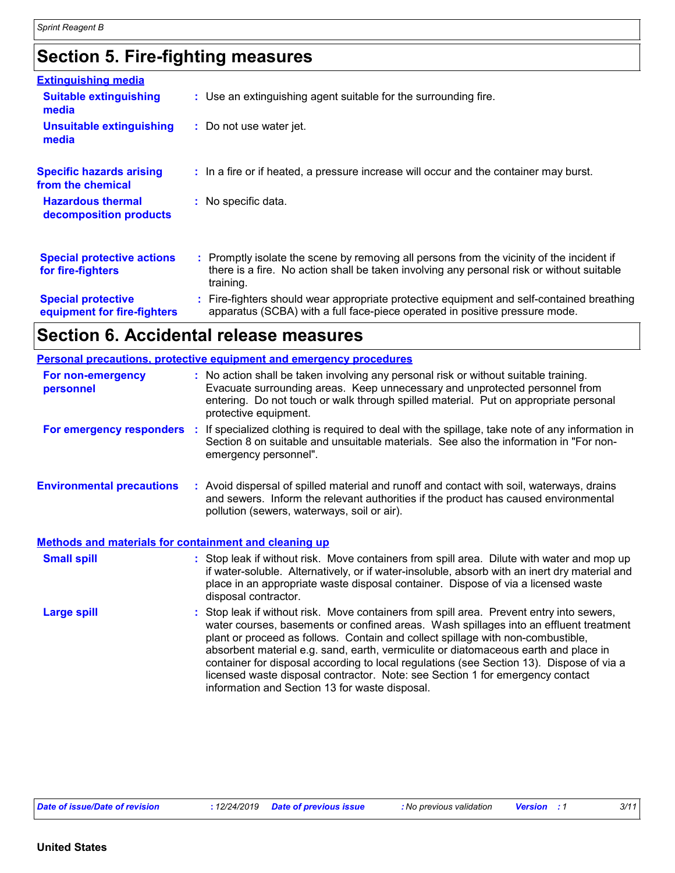### **Section 5. Fire-fighting measures**

| <b>Extinguishing media</b>                               |                                                                                                                                                                                                     |
|----------------------------------------------------------|-----------------------------------------------------------------------------------------------------------------------------------------------------------------------------------------------------|
| <b>Suitable extinguishing</b><br>media                   | : Use an extinguishing agent suitable for the surrounding fire.                                                                                                                                     |
| <b>Unsuitable extinguishing</b><br>media                 | : Do not use water jet.                                                                                                                                                                             |
| <b>Specific hazards arising</b><br>from the chemical     | : In a fire or if heated, a pressure increase will occur and the container may burst.                                                                                                               |
| <b>Hazardous thermal</b><br>decomposition products       | : No specific data.                                                                                                                                                                                 |
| <b>Special protective actions</b><br>for fire-fighters   | : Promptly isolate the scene by removing all persons from the vicinity of the incident if<br>there is a fire. No action shall be taken involving any personal risk or without suitable<br>training. |
| <b>Special protective</b><br>equipment for fire-fighters | : Fire-fighters should wear appropriate protective equipment and self-contained breathing<br>apparatus (SCBA) with a full face-piece operated in positive pressure mode.                            |

## **Section 6. Accidental release measures**

|                                                       | <b>Personal precautions, protective equipment and emergency procedures</b>                                                                                                                                                                                                                                                                                                                                                                                                                                                                                                                 |
|-------------------------------------------------------|--------------------------------------------------------------------------------------------------------------------------------------------------------------------------------------------------------------------------------------------------------------------------------------------------------------------------------------------------------------------------------------------------------------------------------------------------------------------------------------------------------------------------------------------------------------------------------------------|
| For non-emergency<br>personnel                        | : No action shall be taken involving any personal risk or without suitable training.<br>Evacuate surrounding areas. Keep unnecessary and unprotected personnel from<br>entering. Do not touch or walk through spilled material. Put on appropriate personal<br>protective equipment.                                                                                                                                                                                                                                                                                                       |
| For emergency responders :                            | If specialized clothing is required to deal with the spillage, take note of any information in<br>Section 8 on suitable and unsuitable materials. See also the information in "For non-<br>emergency personnel".                                                                                                                                                                                                                                                                                                                                                                           |
| <b>Environmental precautions</b>                      | : Avoid dispersal of spilled material and runoff and contact with soil, waterways, drains<br>and sewers. Inform the relevant authorities if the product has caused environmental<br>pollution (sewers, waterways, soil or air).                                                                                                                                                                                                                                                                                                                                                            |
| Methods and materials for containment and cleaning up |                                                                                                                                                                                                                                                                                                                                                                                                                                                                                                                                                                                            |
| <b>Small spill</b>                                    | : Stop leak if without risk. Move containers from spill area. Dilute with water and mop up<br>if water-soluble. Alternatively, or if water-insoluble, absorb with an inert dry material and<br>place in an appropriate waste disposal container. Dispose of via a licensed waste<br>disposal contractor.                                                                                                                                                                                                                                                                                   |
| <b>Large spill</b>                                    | : Stop leak if without risk. Move containers from spill area. Prevent entry into sewers,<br>water courses, basements or confined areas. Wash spillages into an effluent treatment<br>plant or proceed as follows. Contain and collect spillage with non-combustible,<br>absorbent material e.g. sand, earth, vermiculite or diatomaceous earth and place in<br>container for disposal according to local regulations (see Section 13). Dispose of via a<br>licensed waste disposal contractor. Note: see Section 1 for emergency contact<br>information and Section 13 for waste disposal. |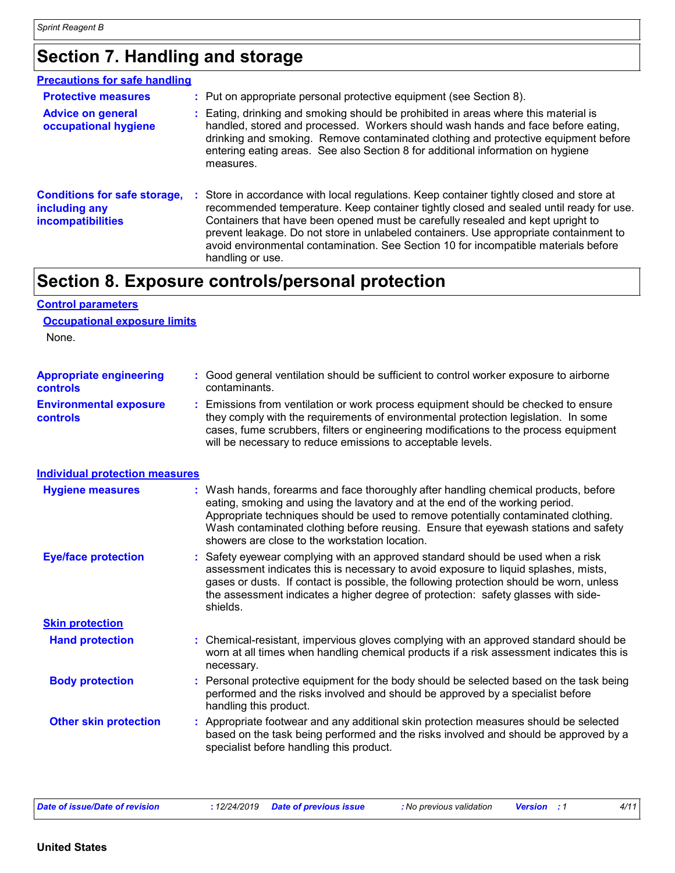**Control parameters**

### **Section 7. Handling and storage**

| <b>Precautions for safe handling</b>                                             |    |                                                                                                                                                                                                                                                                                                                                                                                                                                                                         |
|----------------------------------------------------------------------------------|----|-------------------------------------------------------------------------------------------------------------------------------------------------------------------------------------------------------------------------------------------------------------------------------------------------------------------------------------------------------------------------------------------------------------------------------------------------------------------------|
| <b>Protective measures</b>                                                       |    | : Put on appropriate personal protective equipment (see Section 8).                                                                                                                                                                                                                                                                                                                                                                                                     |
| <b>Advice on general</b><br>occupational hygiene                                 |    | : Eating, drinking and smoking should be prohibited in areas where this material is<br>handled, stored and processed. Workers should wash hands and face before eating,<br>drinking and smoking. Remove contaminated clothing and protective equipment before<br>entering eating areas. See also Section 8 for additional information on hygiene<br>measures.                                                                                                           |
| <b>Conditions for safe storage,</b><br>including any<br><b>incompatibilities</b> | ÷. | Store in accordance with local regulations. Keep container tightly closed and store at<br>recommended temperature. Keep container tightly closed and sealed until ready for use.<br>Containers that have been opened must be carefully resealed and kept upright to<br>prevent leakage. Do not store in unlabeled containers. Use appropriate containment to<br>avoid environmental contamination. See Section 10 for incompatible materials before<br>handling or use. |

### **Section 8. Exposure controls/personal protection**

| <b>Occupational exposure limits</b><br>None. |                                                                                                                                                                                                                                                                                                                                                                                                 |
|----------------------------------------------|-------------------------------------------------------------------------------------------------------------------------------------------------------------------------------------------------------------------------------------------------------------------------------------------------------------------------------------------------------------------------------------------------|
| <b>Appropriate engineering</b><br>controls   | : Good general ventilation should be sufficient to control worker exposure to airborne<br>contaminants.                                                                                                                                                                                                                                                                                         |
| <b>Environmental exposure</b><br>controls    | Emissions from ventilation or work process equipment should be checked to ensure<br>they comply with the requirements of environmental protection legislation. In some<br>cases, fume scrubbers, filters or engineering modifications to the process equipment<br>will be necessary to reduce emissions to acceptable levels.                                                                   |
| <b>Individual protection measures</b>        |                                                                                                                                                                                                                                                                                                                                                                                                 |
| <b>Hygiene measures</b>                      | Wash hands, forearms and face thoroughly after handling chemical products, before<br>eating, smoking and using the lavatory and at the end of the working period.<br>Appropriate techniques should be used to remove potentially contaminated clothing.<br>Wash contaminated clothing before reusing. Ensure that eyewash stations and safety<br>showers are close to the workstation location. |
| <b>Eye/face protection</b>                   | Safety eyewear complying with an approved standard should be used when a risk<br>assessment indicates this is necessary to avoid exposure to liquid splashes, mists,<br>gases or dusts. If contact is possible, the following protection should be worn, unless<br>the assessment indicates a higher degree of protection: safety glasses with side-<br>shields.                                |
| <b>Skin protection</b>                       |                                                                                                                                                                                                                                                                                                                                                                                                 |
| <b>Hand protection</b>                       | : Chemical-resistant, impervious gloves complying with an approved standard should be<br>worn at all times when handling chemical products if a risk assessment indicates this is<br>necessary.                                                                                                                                                                                                 |
| <b>Body protection</b>                       | Personal protective equipment for the body should be selected based on the task being<br>performed and the risks involved and should be approved by a specialist before<br>handling this product.                                                                                                                                                                                               |
| <b>Other skin protection</b>                 | Appropriate footwear and any additional skin protection measures should be selected<br>based on the task being performed and the risks involved and should be approved by a<br>specialist before handling this product.                                                                                                                                                                         |
|                                              |                                                                                                                                                                                                                                                                                                                                                                                                 |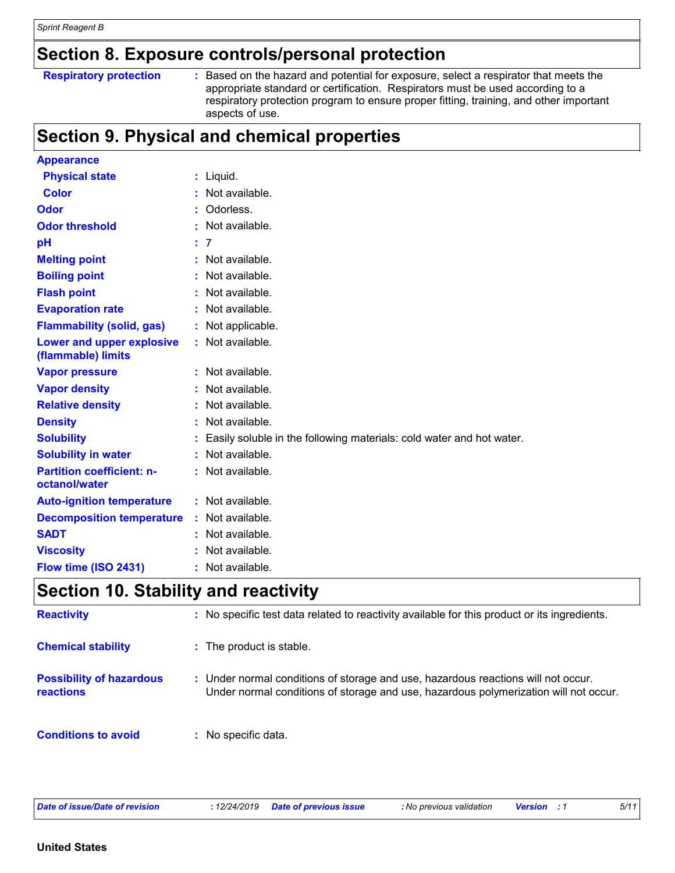### **Section 8. Exposure controls/personal protection**

#### **Respiratory protection :**

: Based on the hazard and potential for exposure, select a respirator that meets the appropriate standard or certification. Respirators must be used according to a respiratory protection program to ensure proper fitting, training, and other important aspects of use.

### **Section 9. Physical and chemical properties**

| <b>Appearance</b>                                 |    |                                                                      |
|---------------------------------------------------|----|----------------------------------------------------------------------|
| <b>Physical state</b>                             |    | $:$ Liquid.                                                          |
| <b>Color</b>                                      | ÷  | Not available.                                                       |
| <b>Odor</b>                                       |    | Odorless.                                                            |
| <b>Odor threshold</b>                             |    | Not available.                                                       |
| pH                                                | ÷. | 7                                                                    |
| <b>Melting point</b>                              |    | : Not available.                                                     |
| <b>Boiling point</b>                              |    | Not available.                                                       |
| <b>Flash point</b>                                |    | Not available.                                                       |
| <b>Evaporation rate</b>                           |    | Not available.                                                       |
| <b>Flammability (solid, gas)</b>                  |    | Not applicable.                                                      |
| Lower and upper explosive<br>(flammable) limits   |    | Not available.                                                       |
| <b>Vapor pressure</b>                             |    | : Not available.                                                     |
| <b>Vapor density</b>                              |    | Not available.                                                       |
| <b>Relative density</b>                           |    | Not available.                                                       |
| <b>Density</b>                                    |    | Not available.                                                       |
| <b>Solubility</b>                                 |    | Easily soluble in the following materials: cold water and hot water. |
| <b>Solubility in water</b>                        |    | Not available.                                                       |
| <b>Partition coefficient: n-</b><br>octanol/water |    | Not available.                                                       |
| <b>Auto-ignition temperature</b>                  |    | : Not available.                                                     |
| <b>Decomposition temperature</b>                  | ÷. | Not available.                                                       |
| <b>SADT</b>                                       |    | Not available.                                                       |
| <b>Viscosity</b>                                  |    | Not available.                                                       |
| Flow time (ISO 2431)                              | ÷  | Not available.                                                       |

### **Section 10. Stability and reactivity**

| <b>Reactivity</b>                            | : No specific test data related to reactivity available for this product or its ingredients.                                                                              |
|----------------------------------------------|---------------------------------------------------------------------------------------------------------------------------------------------------------------------------|
| <b>Chemical stability</b>                    | : The product is stable.                                                                                                                                                  |
| <b>Possibility of hazardous</b><br>reactions | : Under normal conditions of storage and use, hazardous reactions will not occur.<br>Under normal conditions of storage and use, hazardous polymerization will not occur. |
| <b>Conditions to avoid</b>                   | : No specific data.                                                                                                                                                       |

*Date of issue/Date of revision* **:** *12/24/2019 Date of previous issue : No previous validation Version : 1 5/11*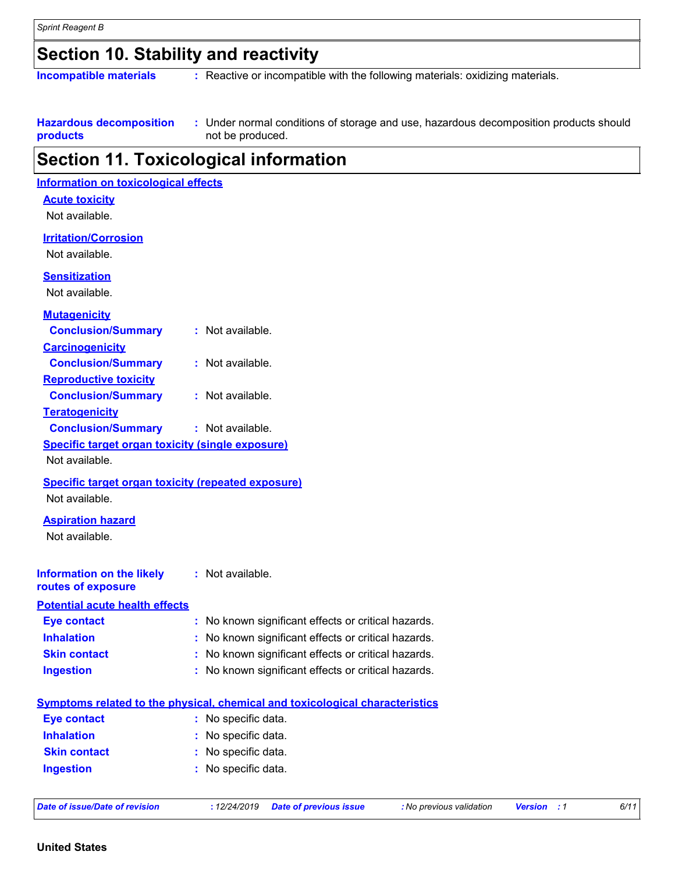### **Section 10. Stability and reactivity**

**Incompatible materials :** Reactive or incompatible with the following materials: oxidizing materials.

**Hazardous decomposition products** Under normal conditions of storage and use, hazardous decomposition products should **:** not be produced.

### **Section 11. Toxicological information**

| <b>Information on toxicological effects</b>               |                                                                              |
|-----------------------------------------------------------|------------------------------------------------------------------------------|
| <b>Acute toxicity</b>                                     |                                                                              |
| Not available.                                            |                                                                              |
| <b>Irritation/Corrosion</b>                               |                                                                              |
| Not available.                                            |                                                                              |
| <b>Sensitization</b>                                      |                                                                              |
| Not available.                                            |                                                                              |
|                                                           |                                                                              |
| <b>Mutagenicity</b>                                       |                                                                              |
| <b>Conclusion/Summary</b>                                 | : Not available.                                                             |
| <b>Carcinogenicity</b>                                    |                                                                              |
| <b>Conclusion/Summary</b>                                 | : Not available.                                                             |
| <b>Reproductive toxicity</b>                              |                                                                              |
| <b>Conclusion/Summary</b>                                 | : Not available.                                                             |
| <b>Teratogenicity</b>                                     |                                                                              |
| <b>Conclusion/Summary</b>                                 | : Not available.                                                             |
| <b>Specific target organ toxicity (single exposure)</b>   |                                                                              |
| Not available.                                            |                                                                              |
| <b>Specific target organ toxicity (repeated exposure)</b> |                                                                              |
| Not available.                                            |                                                                              |
| <b>Aspiration hazard</b>                                  |                                                                              |
| Not available.                                            |                                                                              |
|                                                           |                                                                              |
| <b>Information on the likely</b>                          | : Not available.                                                             |
| routes of exposure                                        |                                                                              |
| <b>Potential acute health effects</b>                     |                                                                              |
| <b>Eye contact</b>                                        | : No known significant effects or critical hazards.                          |
| <b>Inhalation</b>                                         | : No known significant effects or critical hazards.                          |
| <b>Skin contact</b>                                       | : No known significant effects or critical hazards.                          |
| <b>Ingestion</b>                                          | : No known significant effects or critical hazards.                          |
|                                                           |                                                                              |
|                                                           | Symptoms related to the physical, chemical and toxicological characteristics |
| <b>Eye contact</b>                                        | : No specific data.                                                          |
| <b>Inhalation</b>                                         | : No specific data.                                                          |
| <b>Skin contact</b>                                       | : No specific data.                                                          |
| <b>Ingestion</b>                                          | : No specific data.                                                          |
|                                                           |                                                                              |

| Date of issue/Date of revision |  |  |  |  |
|--------------------------------|--|--|--|--|
|--------------------------------|--|--|--|--|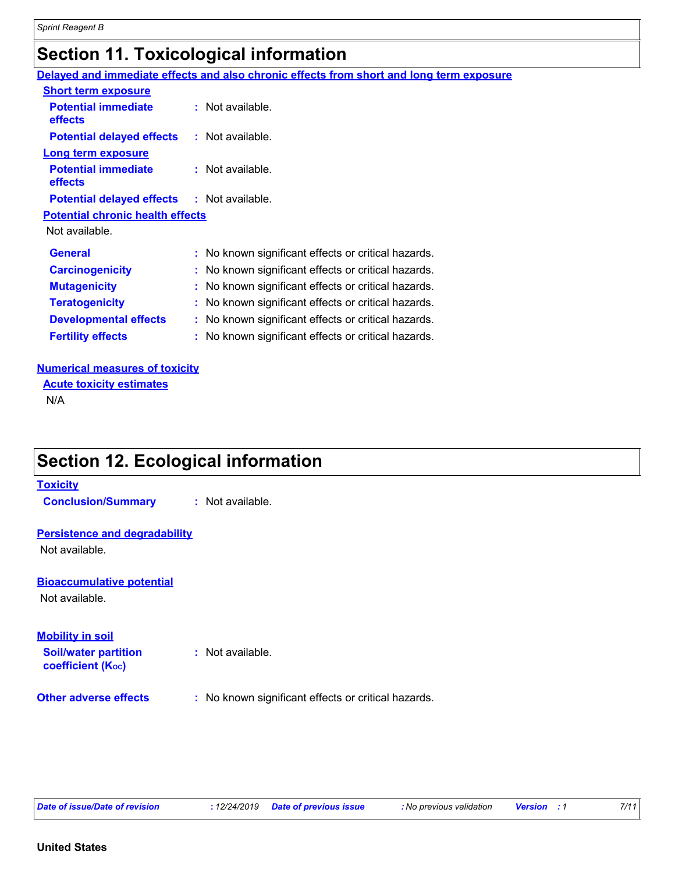### **Section 11. Toxicological information**

**Delayed and immediate effects and also chronic effects from short and long term exposure**

| <b>Short term exposure</b>                        |                                                     |
|---------------------------------------------------|-----------------------------------------------------|
| <b>Potential immediate</b><br>effects             | $:$ Not available.                                  |
| <b>Potential delayed effects</b>                  | $:$ Not available.                                  |
| Long term exposure                                |                                                     |
| <b>Potential immediate</b><br>effects             | $:$ Not available.                                  |
| <b>Potential delayed effects : Not available.</b> |                                                     |
| <b>Potential chronic health effects</b>           |                                                     |
| Not available.                                    |                                                     |
| <b>General</b>                                    | : No known significant effects or critical hazards. |
| <b>Carcinogenicity</b>                            | : No known significant effects or critical hazards. |
| <b>Mutagenicity</b>                               | : No known significant effects or critical hazards. |
| <b>Teratogenicity</b>                             | : No known significant effects or critical hazards. |
| <b>Developmental effects</b>                      | : No known significant effects or critical hazards. |
| <b>Fertility effects</b>                          | : No known significant effects or critical hazards. |

#### **Numerical measures of toxicity**

**Acute toxicity estimates**

N/A

### **Section 12. Ecological information**

#### **Toxicity**

**Conclusion/Summary :** Not available.

#### **Persistence and degradability**

Not available.

#### **Bioaccumulative potential**

Not available.

### **Mobility in soil**

**Soil/water partition coefficient (KOC)**

- **:** Not available.
- **Other adverse effects** : No known significant effects or critical hazards.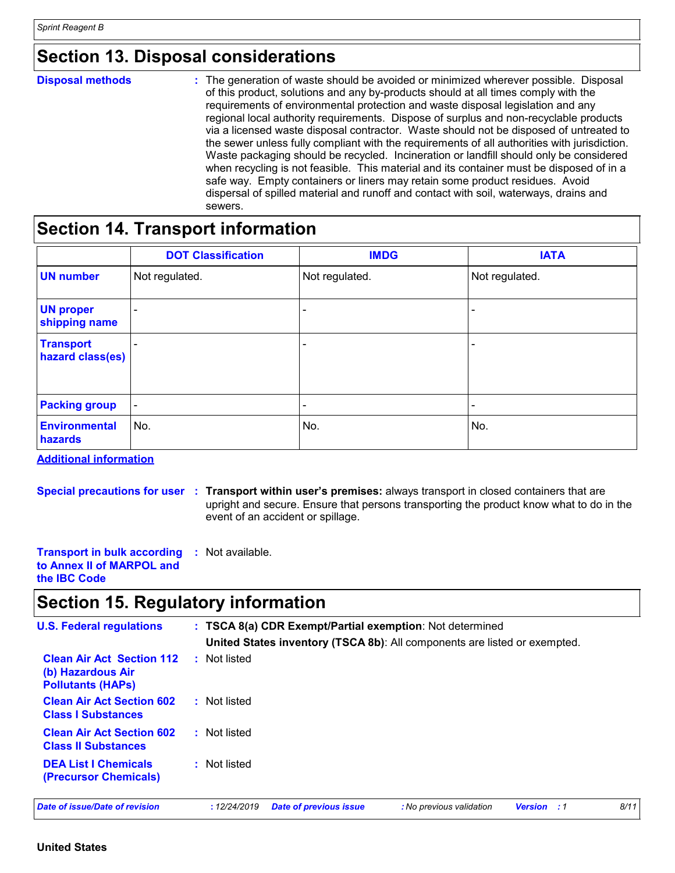### **Section 13. Disposal considerations**

| <b>Disposal methods</b> | : The generation of waste should be avoided or minimized wherever possible. Disposal<br>of this product, solutions and any by-products should at all times comply with the<br>requirements of environmental protection and waste disposal legislation and any<br>regional local authority requirements. Dispose of surplus and non-recyclable products<br>via a licensed waste disposal contractor. Waste should not be disposed of untreated to<br>the sewer unless fully compliant with the requirements of all authorities with jurisdiction.<br>Waste packaging should be recycled. Incineration or landfill should only be considered<br>when recycling is not feasible. This material and its container must be disposed of in a<br>safe way. Empty containers or liners may retain some product residues. Avoid<br>dispersal of spilled material and runoff and contact with soil, waterways, drains and |
|-------------------------|-----------------------------------------------------------------------------------------------------------------------------------------------------------------------------------------------------------------------------------------------------------------------------------------------------------------------------------------------------------------------------------------------------------------------------------------------------------------------------------------------------------------------------------------------------------------------------------------------------------------------------------------------------------------------------------------------------------------------------------------------------------------------------------------------------------------------------------------------------------------------------------------------------------------|
|                         | sewers.                                                                                                                                                                                                                                                                                                                                                                                                                                                                                                                                                                                                                                                                                                                                                                                                                                                                                                         |

### **Section 14. Transport information**

|                                      | <b>DOT Classification</b> | <b>IMDG</b>              | <b>IATA</b>              |
|--------------------------------------|---------------------------|--------------------------|--------------------------|
| <b>UN number</b>                     | Not regulated.            | Not regulated.           | Not regulated.           |
| <b>UN proper</b><br>shipping name    | $\overline{\phantom{a}}$  | $\overline{\phantom{0}}$ |                          |
| <b>Transport</b><br>hazard class(es) | $\overline{\phantom{a}}$  | $\overline{\phantom{a}}$ | $\overline{\phantom{0}}$ |
| <b>Packing group</b>                 | $\overline{\phantom{a}}$  | $\overline{\phantom{a}}$ | $\overline{\phantom{0}}$ |
| <b>Environmental</b><br>hazards      | No.                       | No.                      | No.                      |

**Additional information**

**Special precautions for user Transport within user's premises:** always transport in closed containers that are **:** upright and secure. Ensure that persons transporting the product know what to do in the event of an accident or spillage.

| <b>Transport in bulk according : Not available.</b> |  |
|-----------------------------------------------------|--|
| to Annex II of MARPOL and                           |  |
| the <b>IBC</b> Code                                 |  |

### **Section 15. Regulatory information**

| <b>U.S. Federal regulations</b>                                                   |              |                               | : TSCA 8(a) CDR Exempt/Partial exemption: Not determined<br>United States inventory (TSCA 8b): All components are listed or exempted. |                    |      |
|-----------------------------------------------------------------------------------|--------------|-------------------------------|---------------------------------------------------------------------------------------------------------------------------------------|--------------------|------|
| <b>Clean Air Act Section 112</b><br>(b) Hazardous Air<br><b>Pollutants (HAPS)</b> | : Not listed |                               |                                                                                                                                       |                    |      |
| <b>Clean Air Act Section 602</b><br><b>Class I Substances</b>                     | : Not listed |                               |                                                                                                                                       |                    |      |
| <b>Clean Air Act Section 602</b><br><b>Class II Substances</b>                    | : Not listed |                               |                                                                                                                                       |                    |      |
| <b>DEA List I Chemicals</b><br><b>(Precursor Chemicals)</b>                       | : Not listed |                               |                                                                                                                                       |                    |      |
| Date of issue/Date of revision                                                    | :12/24/2019  | <b>Date of previous issue</b> | : No previous validation                                                                                                              | <b>Version</b> : 1 | 8/11 |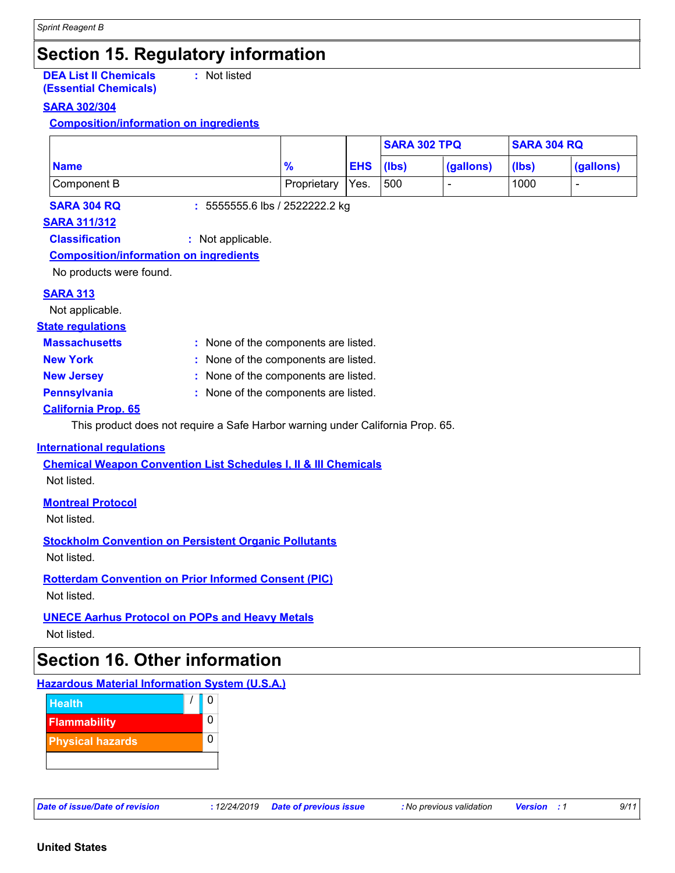### **Section 15. Regulatory information**

#### **DEA List II Chemicals (Essential Chemicals)**

**:** Not listed

### **SARA 302/304**

### **Composition/information on ingredients**

|             |             |               | <b>SARA 302 TPQ</b> |                          | <b>SARA 304 RQ</b> |           |
|-------------|-------------|---------------|---------------------|--------------------------|--------------------|-----------|
| <b>Name</b> | 70          | $ EHS $ (lbs) |                     | (gallons)                | (Ibs)              | (gallons) |
| Component B | Proprietary | Yes.          | 500                 | $\overline{\phantom{0}}$ | 1000               |           |

**SARA 304 RQ :** 5555555.6 lbs / 2522222.2 kg

### **SARA 311/312**

**Classification :** Not applicable.

### **Composition/information on ingredients**

No products were found.

#### **SARA 313**

Not applicable.

#### **State regulations**

- 
- **Massachusetts :** None of the components are listed.
	-
- **New York :** None of the components are listed.
- 
- **New Jersey :** None of the components are listed.
- 
- **Pennsylvania :** None of the components are listed.

### **California Prop. 65**

This product does not require a Safe Harbor warning under California Prop. 65.

#### **International regulations**

**Chemical Weapon Convention List Schedules I, II & III Chemicals** Not listed.

#### **Montreal Protocol**

Not listed.

**Stockholm Convention on Persistent Organic Pollutants**

Not listed.

#### **Rotterdam Convention on Prior Informed Consent (PIC)**

Not listed.

### **UNECE Aarhus Protocol on POPs and Heavy Metals**

Not listed.

### **Section 16. Other information**

### **Hazardous Material Information System (U.S.A.)**

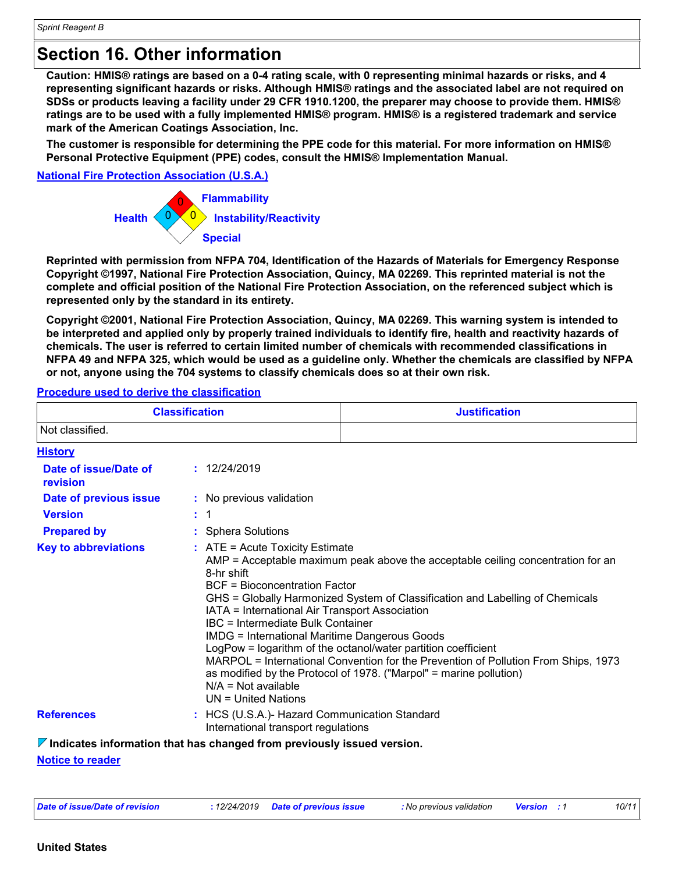### **Section 16. Other information**

**Caution: HMIS® ratings are based on a 0-4 rating scale, with 0 representing minimal hazards or risks, and 4 representing significant hazards or risks. Although HMIS® ratings and the associated label are not required on SDSs or products leaving a facility under 29 CFR 1910.1200, the preparer may choose to provide them. HMIS® ratings are to be used with a fully implemented HMIS® program. HMIS® is a registered trademark and service mark of the American Coatings Association, Inc.**

**The customer is responsible for determining the PPE code for this material. For more information on HMIS® Personal Protective Equipment (PPE) codes, consult the HMIS® Implementation Manual.**

#### **National Fire Protection Association (U.S.A.)**



**Reprinted with permission from NFPA 704, Identification of the Hazards of Materials for Emergency Response Copyright ©1997, National Fire Protection Association, Quincy, MA 02269. This reprinted material is not the complete and official position of the National Fire Protection Association, on the referenced subject which is represented only by the standard in its entirety.**

**Copyright ©2001, National Fire Protection Association, Quincy, MA 02269. This warning system is intended to be interpreted and applied only by properly trained individuals to identify fire, health and reactivity hazards of chemicals. The user is referred to certain limited number of chemicals with recommended classifications in NFPA 49 and NFPA 325, which would be used as a guideline only. Whether the chemicals are classified by NFPA or not, anyone using the 704 systems to classify chemicals does so at their own risk.**

#### **Procedure used to derive the classification**

| <b>Classification</b>             |                                                                                                                                                                                                                                                                                          | <b>Justification</b>                                                                                                                                                                                                                                                                                                                                                                            |  |  |
|-----------------------------------|------------------------------------------------------------------------------------------------------------------------------------------------------------------------------------------------------------------------------------------------------------------------------------------|-------------------------------------------------------------------------------------------------------------------------------------------------------------------------------------------------------------------------------------------------------------------------------------------------------------------------------------------------------------------------------------------------|--|--|
| Not classified.                   |                                                                                                                                                                                                                                                                                          |                                                                                                                                                                                                                                                                                                                                                                                                 |  |  |
| <b>History</b>                    |                                                                                                                                                                                                                                                                                          |                                                                                                                                                                                                                                                                                                                                                                                                 |  |  |
| Date of issue/Date of<br>revision | : 12/24/2019                                                                                                                                                                                                                                                                             |                                                                                                                                                                                                                                                                                                                                                                                                 |  |  |
| Date of previous issue            | : No previous validation                                                                                                                                                                                                                                                                 |                                                                                                                                                                                                                                                                                                                                                                                                 |  |  |
| <b>Version</b>                    | $\therefore$ 1                                                                                                                                                                                                                                                                           |                                                                                                                                                                                                                                                                                                                                                                                                 |  |  |
| <b>Prepared by</b>                | : Sphera Solutions                                                                                                                                                                                                                                                                       |                                                                                                                                                                                                                                                                                                                                                                                                 |  |  |
| <b>Key to abbreviations</b>       | $:$ ATE = Acute Toxicity Estimate<br>8-hr shift<br><b>BCF</b> = Bioconcentration Factor<br>IATA = International Air Transport Association<br>IBC = Intermediate Bulk Container<br><b>IMDG = International Maritime Dangerous Goods</b><br>$N/A = Not available$<br>$UN = United Nations$ | $AMP = Acceptable$ maximum peak above the acceptable ceiling concentration for an<br>GHS = Globally Harmonized System of Classification and Labelling of Chemicals<br>LogPow = logarithm of the octanol/water partition coefficient<br>MARPOL = International Convention for the Prevention of Pollution From Ships, 1973<br>as modified by the Protocol of 1978. ("Marpol" = marine pollution) |  |  |
| <b>References</b>                 | : HCS (U.S.A.)- Hazard Communication Standard<br>International transport regulations                                                                                                                                                                                                     |                                                                                                                                                                                                                                                                                                                                                                                                 |  |  |

#### **Indicates information that has changed from previously issued version.**

#### **Notice to reader**

| Date of issue/Date of revision | 12/24/2019 Date of previous issue | <b>:</b> No previous validation | <b>Version</b> : 1 | 10/11 |
|--------------------------------|-----------------------------------|---------------------------------|--------------------|-------|
|--------------------------------|-----------------------------------|---------------------------------|--------------------|-------|